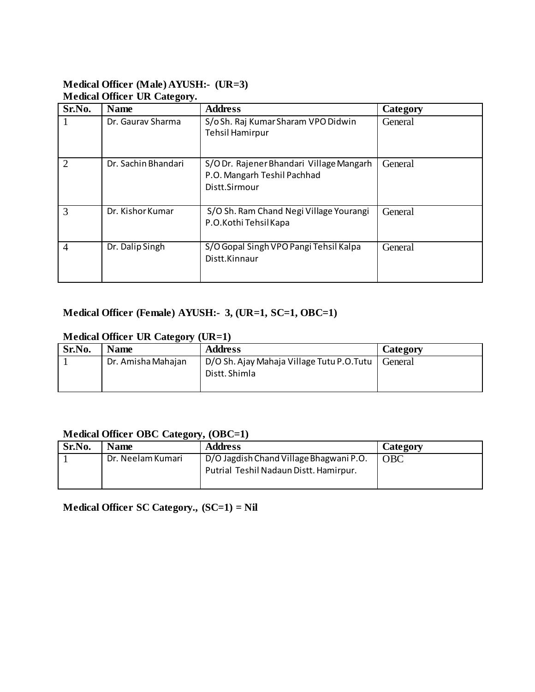#### **Medical Officer (Male) AYUSH:- (UR=3) Medical Officer UR Category.**

| Sr.No.         | <b>Name</b>         | <b>Address</b>                                                                          | Category |
|----------------|---------------------|-----------------------------------------------------------------------------------------|----------|
|                | Dr. Gauray Sharma   | S/o Sh. Raj Kumar Sharam VPO Didwin<br><b>Tehsil Hamirpur</b>                           | General  |
| $\overline{2}$ | Dr. Sachin Bhandari | S/ODr. Rajener Bhandari Village Mangarh<br>P.O. Mangarh Teshil Pachhad<br>Distt.Sirmour | General  |
| 3              | Dr. Kishor Kumar    | S/O Sh. Ram Chand Negi Village Yourangi<br>P.O.Kothi Tehsil Kapa                        | General  |
| $\overline{4}$ | Dr. Dalip Singh     | S/O Gopal Singh VPO Pangi Tehsil Kalpa<br>Distt.Kinnaur                                 | General  |

# **Medical Officer (Female) AYUSH:- 3, (UR=1, SC=1, OBC=1)**

# **Medical Officer UR Category (UR=1)**

| Sr.No. | <b>Name</b>        | <b>Address</b>                                             | Category |
|--------|--------------------|------------------------------------------------------------|----------|
|        | Dr. Amisha Mahajan | D/O Sh. Ajay Mahaja Village Tutu P.O.Tutu<br>Distt. Shimla | General  |

## **Medical Officer OBC Category, (OBC=1)**

| Sr.No. | <b>Name</b>       | <b>Address</b>                          | Category   |
|--------|-------------------|-----------------------------------------|------------|
|        | Dr. Neelam Kumari | D/O Jagdish Chand Village Bhagwani P.O. | <b>OBC</b> |
|        |                   | Putrial Teshil Nadaun Distt. Hamirpur.  |            |
|        |                   |                                         |            |

**Medical Officer SC Category., (SC=1) = Nil**